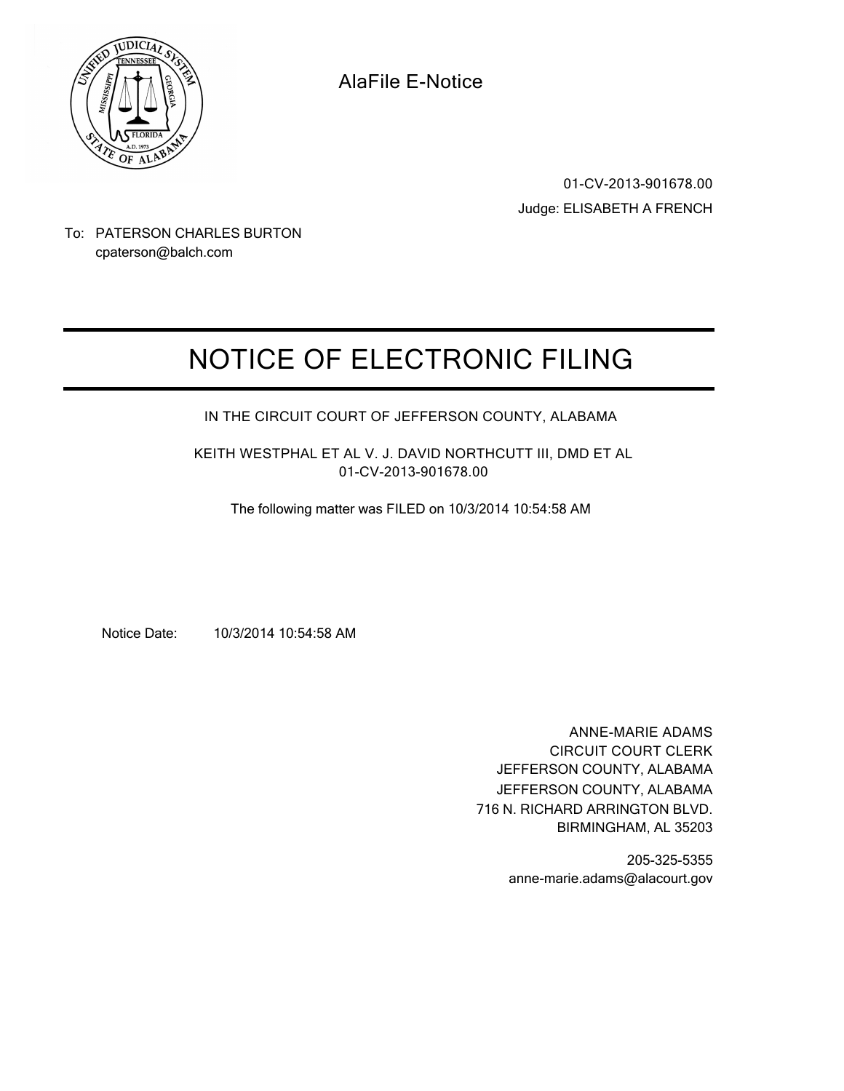

**AlaFile E-Notice**

**01-CV-2013-901678.00** Judge: ELISABETH A FRENCH

To: PATERSON CHARLES BURTON cpaterson@balch.com

# **NOTICE OF ELECTRONIC FILING**

# **IN THE CIRCUIT COURT OF JEFFERSON COUNTY, ALABAMA**

**KEITH WESTPHAL ET AL V. J. DAVID NORTHCUTT III, DMD ET AL 01-CV-2013-901678.00**

The following matter was FILED on 10/3/2014 10:54:58 AM

Notice Date: 10/3/2014 10:54:58 AM

**ANNE-MARIE ADAMS CIRCUIT COURT CLERK** JEFFERSON COUNTY, ALABAMA 716 N. RICHARD ARRINGTON BLVD. BIRMINGHAM, AL 35203 JEFFERSON COUNTY, ALABAMA

> 205-325-5355 anne-marie.adams@alacourt.gov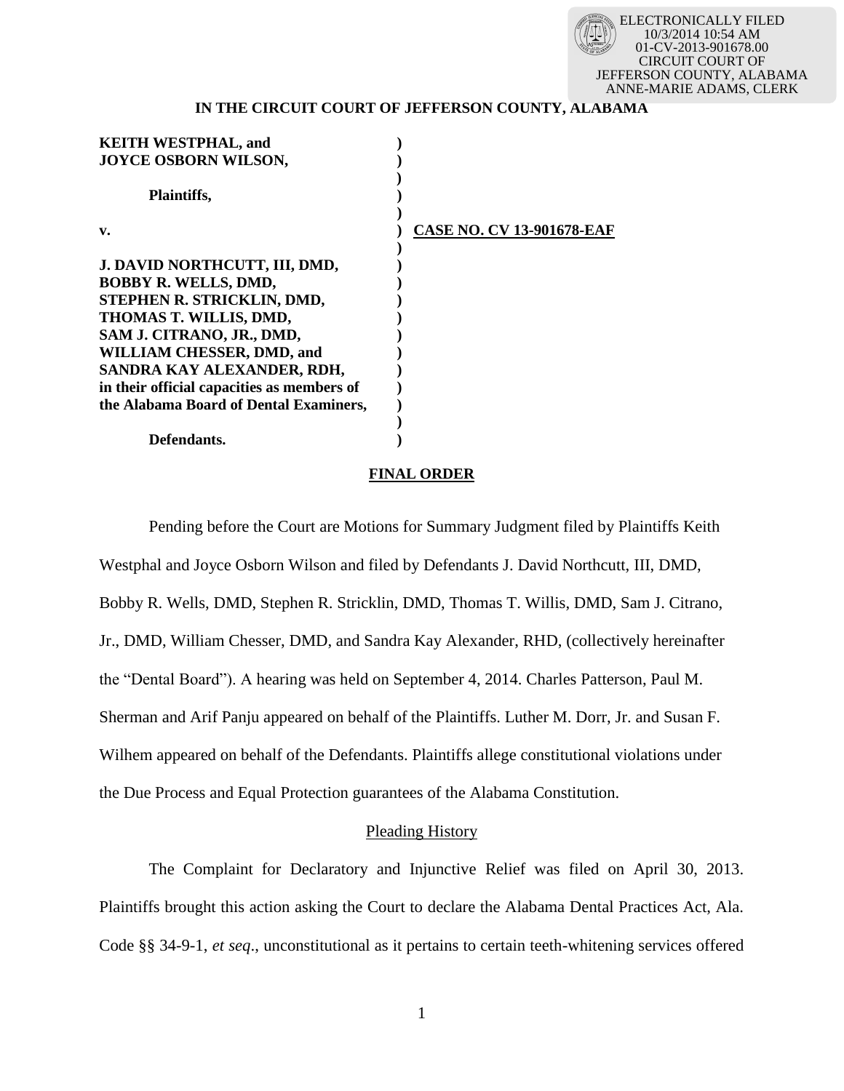

# **IN THE CIRCUIT COURT OF JEFFERSON COUNTY, ALABAMA**

| <b>KEITH WESTPHAL, and</b>                 |                                  |
|--------------------------------------------|----------------------------------|
| JOYCE OSBORN WILSON,                       |                                  |
|                                            |                                  |
| <b>Plaintiffs,</b>                         |                                  |
|                                            |                                  |
| v.                                         | <b>CASE NO. CV 13-901678-EAF</b> |
|                                            |                                  |
| J. DAVID NORTHCUTT, III, DMD,              |                                  |
| BOBBY R. WELLS, DMD,                       |                                  |
| STEPHEN R. STRICKLIN, DMD,                 |                                  |
| THOMAS T. WILLIS, DMD,                     |                                  |
| SAM J. CITRANO, JR., DMD,                  |                                  |
| <b>WILLIAM CHESSER, DMD, and</b>           |                                  |
| SANDRA KAY ALEXANDER, RDH,                 |                                  |
| in their official capacities as members of |                                  |
| the Alabama Board of Dental Examiners,     |                                  |
|                                            |                                  |
| Defendants.                                |                                  |

#### **FINAL ORDER**

Pending before the Court are Motions for Summary Judgment filed by Plaintiffs Keith Westphal and Joyce Osborn Wilson and filed by Defendants J. David Northcutt, III, DMD, Bobby R. Wells, DMD, Stephen R. Stricklin, DMD, Thomas T. Willis, DMD, Sam J. Citrano, Jr., DMD, William Chesser, DMD, and Sandra Kay Alexander, RHD, (collectively hereinafter the "Dental Board"). A hearing was held on September 4, 2014. Charles Patterson, Paul M. Sherman and Arif Panju appeared on behalf of the Plaintiffs. Luther M. Dorr, Jr. and Susan F. Wilhem appeared on behalf of the Defendants. Plaintiffs allege constitutional violations under the Due Process and Equal Protection guarantees of the Alabama Constitution.

# Pleading History

The Complaint for Declaratory and Injunctive Relief was filed on April 30, 2013. Plaintiffs brought this action asking the Court to declare the Alabama Dental Practices Act, Ala. Code §§ 34-9-1, *et seq*., unconstitutional as it pertains to certain teeth-whitening services offered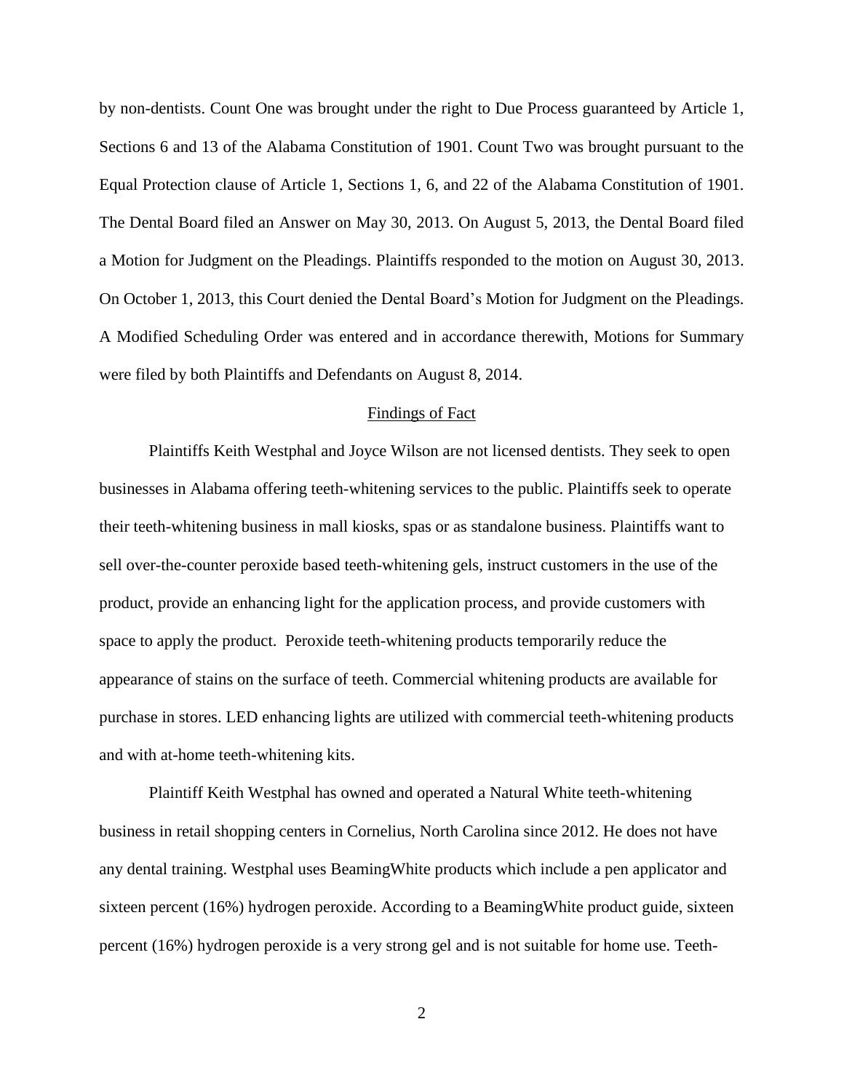by non-dentists. Count One was brought under the right to Due Process guaranteed by Article 1, Sections 6 and 13 of the Alabama Constitution of 1901. Count Two was brought pursuant to the Equal Protection clause of Article 1, Sections 1, 6, and 22 of the Alabama Constitution of 1901. The Dental Board filed an Answer on May 30, 2013. On August 5, 2013, the Dental Board filed a Motion for Judgment on the Pleadings. Plaintiffs responded to the motion on August 30, 2013. On October 1, 2013, this Court denied the Dental Board's Motion for Judgment on the Pleadings. A Modified Scheduling Order was entered and in accordance therewith, Motions for Summary were filed by both Plaintiffs and Defendants on August 8, 2014.

### Findings of Fact

Plaintiffs Keith Westphal and Joyce Wilson are not licensed dentists. They seek to open businesses in Alabama offering teeth-whitening services to the public. Plaintiffs seek to operate their teeth-whitening business in mall kiosks, spas or as standalone business. Plaintiffs want to sell over-the-counter peroxide based teeth-whitening gels, instruct customers in the use of the product, provide an enhancing light for the application process, and provide customers with space to apply the product. Peroxide teeth-whitening products temporarily reduce the appearance of stains on the surface of teeth. Commercial whitening products are available for purchase in stores. LED enhancing lights are utilized with commercial teeth-whitening products and with at-home teeth-whitening kits.

Plaintiff Keith Westphal has owned and operated a Natural White teeth-whitening business in retail shopping centers in Cornelius, North Carolina since 2012. He does not have any dental training. Westphal uses BeamingWhite products which include a pen applicator and sixteen percent (16%) hydrogen peroxide. According to a BeamingWhite product guide, sixteen percent (16%) hydrogen peroxide is a very strong gel and is not suitable for home use. Teeth-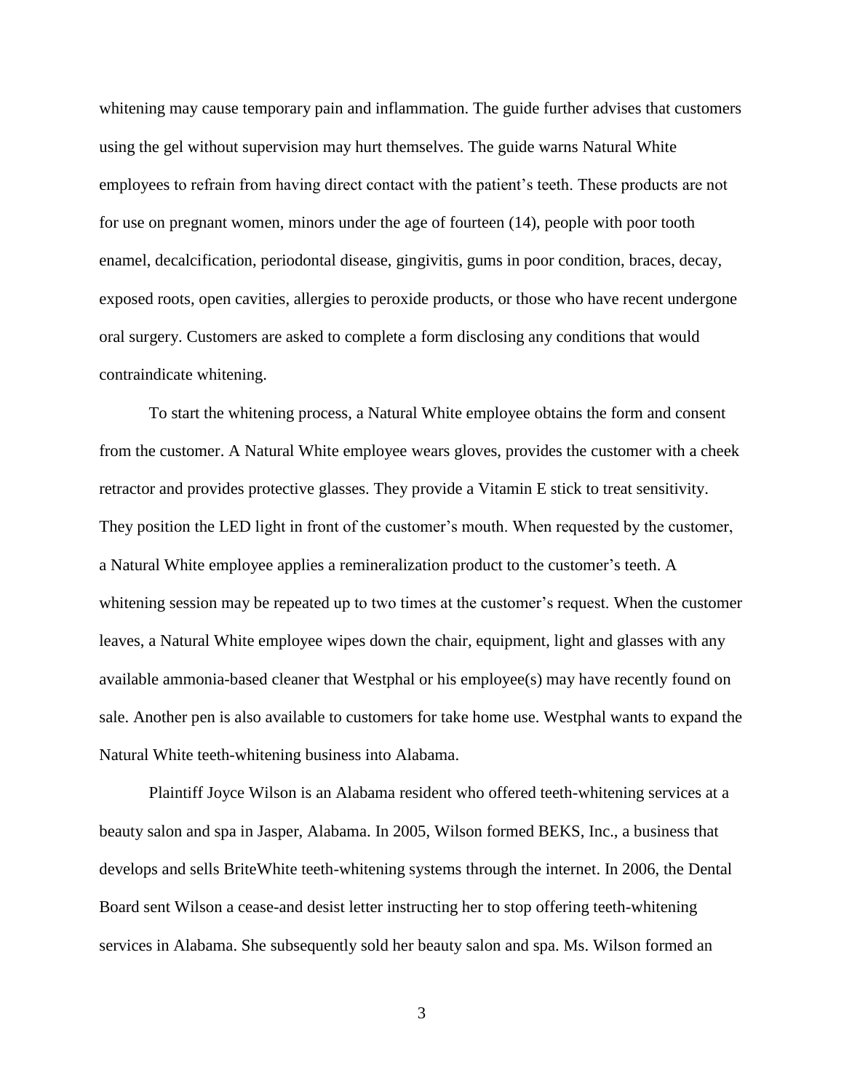whitening may cause temporary pain and inflammation. The guide further advises that customers using the gel without supervision may hurt themselves. The guide warns Natural White employees to refrain from having direct contact with the patient's teeth. These products are not for use on pregnant women, minors under the age of fourteen (14), people with poor tooth enamel, decalcification, periodontal disease, gingivitis, gums in poor condition, braces, decay, exposed roots, open cavities, allergies to peroxide products, or those who have recent undergone oral surgery. Customers are asked to complete a form disclosing any conditions that would contraindicate whitening.

To start the whitening process, a Natural White employee obtains the form and consent from the customer. A Natural White employee wears gloves, provides the customer with a cheek retractor and provides protective glasses. They provide a Vitamin E stick to treat sensitivity. They position the LED light in front of the customer's mouth. When requested by the customer, a Natural White employee applies a remineralization product to the customer's teeth. A whitening session may be repeated up to two times at the customer's request. When the customer leaves, a Natural White employee wipes down the chair, equipment, light and glasses with any available ammonia-based cleaner that Westphal or his employee(s) may have recently found on sale. Another pen is also available to customers for take home use. Westphal wants to expand the Natural White teeth-whitening business into Alabama.

Plaintiff Joyce Wilson is an Alabama resident who offered teeth-whitening services at a beauty salon and spa in Jasper, Alabama. In 2005, Wilson formed BEKS, Inc., a business that develops and sells BriteWhite teeth-whitening systems through the internet. In 2006, the Dental Board sent Wilson a cease-and desist letter instructing her to stop offering teeth-whitening services in Alabama. She subsequently sold her beauty salon and spa. Ms. Wilson formed an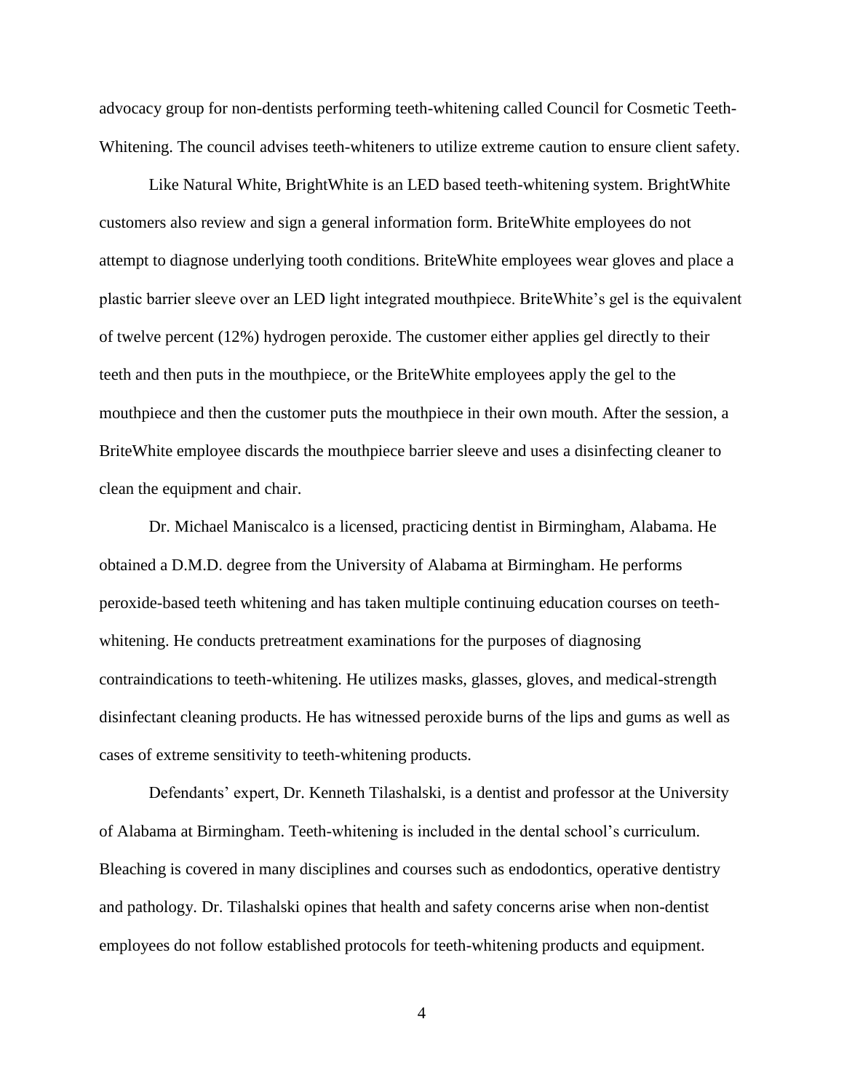advocacy group for non-dentists performing teeth-whitening called Council for Cosmetic Teeth-Whitening. The council advises teeth-whiteners to utilize extreme caution to ensure client safety.

Like Natural White, BrightWhite is an LED based teeth-whitening system. BrightWhite customers also review and sign a general information form. BriteWhite employees do not attempt to diagnose underlying tooth conditions. BriteWhite employees wear gloves and place a plastic barrier sleeve over an LED light integrated mouthpiece. BriteWhite's gel is the equivalent of twelve percent (12%) hydrogen peroxide. The customer either applies gel directly to their teeth and then puts in the mouthpiece, or the BriteWhite employees apply the gel to the mouthpiece and then the customer puts the mouthpiece in their own mouth. After the session, a BriteWhite employee discards the mouthpiece barrier sleeve and uses a disinfecting cleaner to clean the equipment and chair.

Dr. Michael Maniscalco is a licensed, practicing dentist in Birmingham, Alabama. He obtained a D.M.D. degree from the University of Alabama at Birmingham. He performs peroxide-based teeth whitening and has taken multiple continuing education courses on teethwhitening. He conducts pretreatment examinations for the purposes of diagnosing contraindications to teeth-whitening. He utilizes masks, glasses, gloves, and medical-strength disinfectant cleaning products. He has witnessed peroxide burns of the lips and gums as well as cases of extreme sensitivity to teeth-whitening products.

Defendants' expert, Dr. Kenneth Tilashalski, is a dentist and professor at the University of Alabama at Birmingham. Teeth-whitening is included in the dental school's curriculum. Bleaching is covered in many disciplines and courses such as endodontics, operative dentistry and pathology. Dr. Tilashalski opines that health and safety concerns arise when non-dentist employees do not follow established protocols for teeth-whitening products and equipment.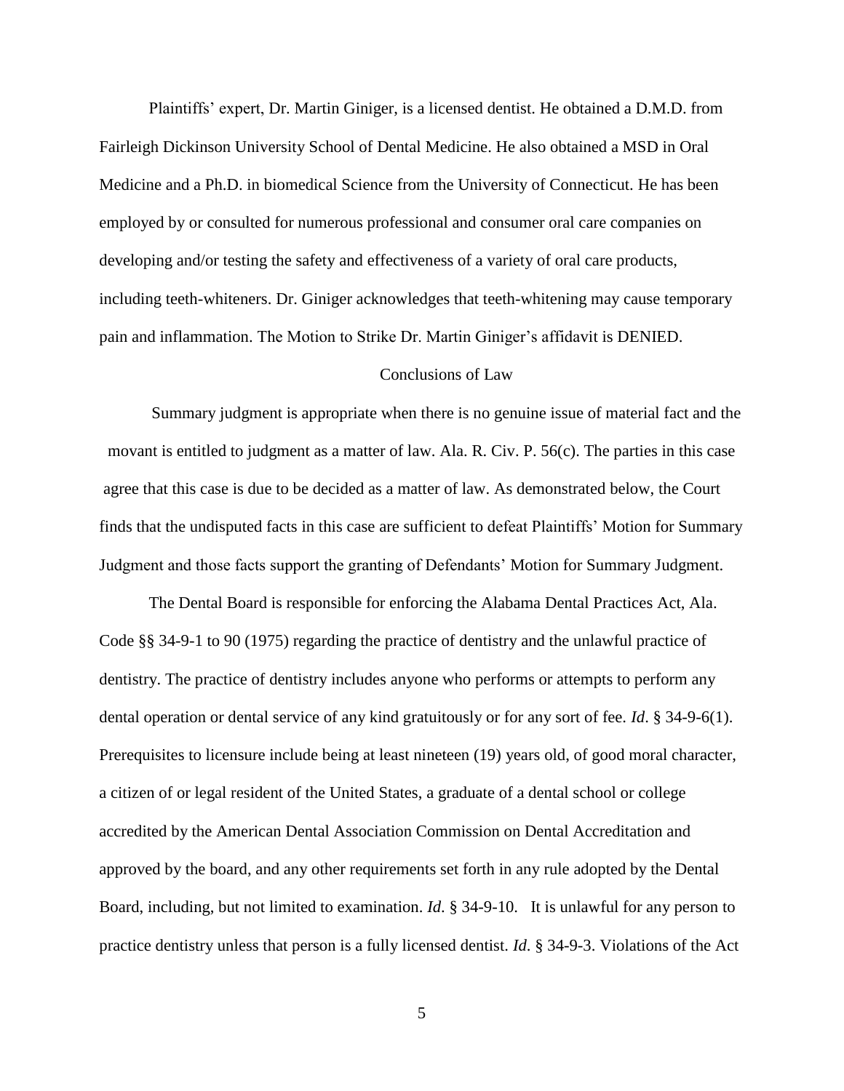Plaintiffs' expert, Dr. Martin Giniger, is a licensed dentist. He obtained a D.M.D. from Fairleigh Dickinson University School of Dental Medicine. He also obtained a MSD in Oral Medicine and a Ph.D. in biomedical Science from the University of Connecticut. He has been employed by or consulted for numerous professional and consumer oral care companies on developing and/or testing the safety and effectiveness of a variety of oral care products, including teeth-whiteners. Dr. Giniger acknowledges that teeth-whitening may cause temporary pain and inflammation. The Motion to Strike Dr. Martin Giniger's affidavit is DENIED.

# Conclusions of Law

Summary judgment is appropriate when there is no genuine issue of material fact and the movant is entitled to judgment as a matter of law. Ala. R. Civ. P. 56(c). The parties in this case agree that this case is due to be decided as a matter of law. As demonstrated below, the Court finds that the undisputed facts in this case are sufficient to defeat Plaintiffs' Motion for Summary Judgment and those facts support the granting of Defendants' Motion for Summary Judgment.

The Dental Board is responsible for enforcing the Alabama Dental Practices Act, Ala. Code §§ 34-9-1 to 90 (1975) regarding the practice of dentistry and the unlawful practice of dentistry. The practice of dentistry includes anyone who performs or attempts to perform any dental operation or dental service of any kind gratuitously or for any sort of fee. *Id*. § 34-9-6(1). Prerequisites to licensure include being at least nineteen (19) years old, of good moral character, a citizen of or legal resident of the United States, a graduate of a dental school or college accredited by the American Dental Association Commission on Dental Accreditation and approved by the board, and any other requirements set forth in any rule adopted by the Dental Board, including, but not limited to examination. *Id*. § 34-9-10. It is unlawful for any person to practice dentistry unless that person is a fully licensed dentist. *Id*. § 34-9-3. Violations of the Act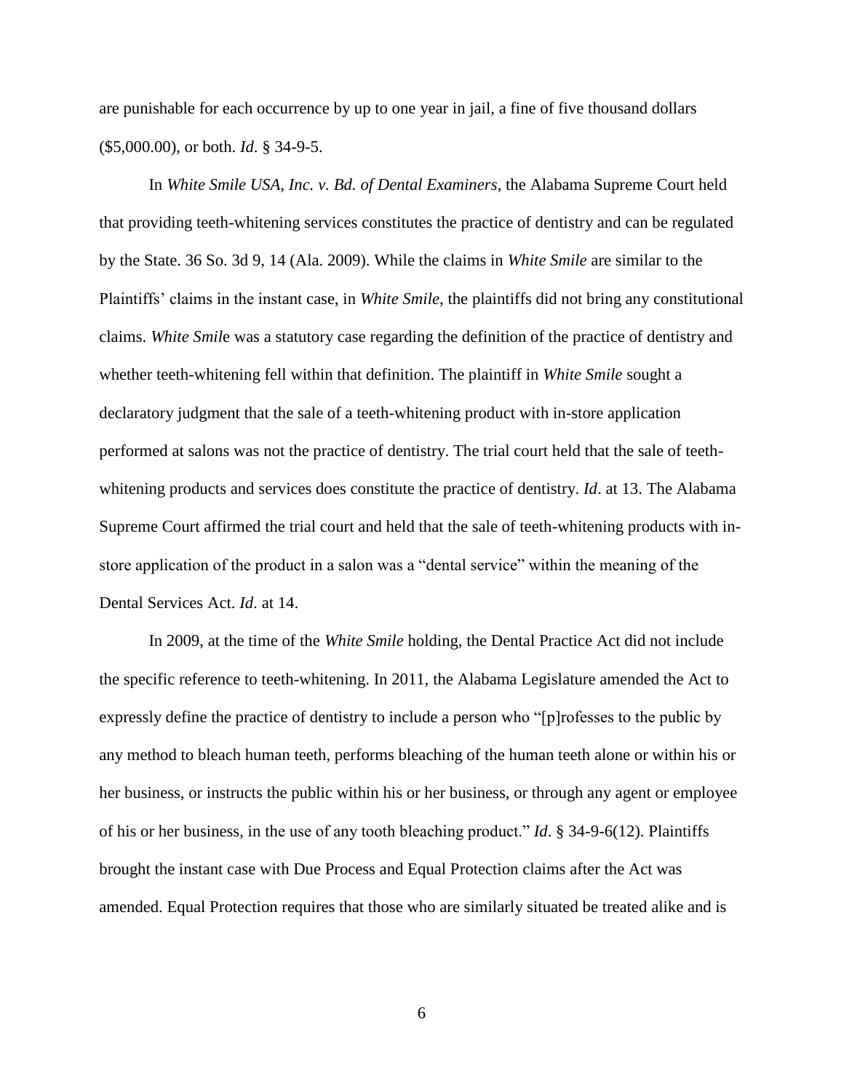are punishable for each occurrence by up to one year in jail, a fine of five thousand dollars (\$5,000.00), or both. *Id*. § 34-9-5.

In *White Smile USA, Inc. v. Bd. of Dental Examiners*, the Alabama Supreme Court held that providing teeth-whitening services constitutes the practice of dentistry and can be regulated by the State. 36 So. 3d 9, 14 (Ala. 2009). While the claims in *White Smile* are similar to the Plaintiffs' claims in the instant case, in *White Smile*, the plaintiffs did not bring any constitutional claims. *White Smil*e was a statutory case regarding the definition of the practice of dentistry and whether teeth-whitening fell within that definition. The plaintiff in *White Smile* sought a declaratory judgment that the sale of a teeth-whitening product with in-store application performed at salons was not the practice of dentistry. The trial court held that the sale of teethwhitening products and services does constitute the practice of dentistry. *Id*. at 13. The Alabama Supreme Court affirmed the trial court and held that the sale of teeth-whitening products with instore application of the product in a salon was a "dental service" within the meaning of the Dental Services Act. *Id*. at 14.

In 2009, at the time of the *White Smile* holding, the Dental Practice Act did not include the specific reference to teeth-whitening. In 2011, the Alabama Legislature amended the Act to expressly define the practice of dentistry to include a person who "[p]rofesses to the public by any method to bleach human teeth, performs bleaching of the human teeth alone or within his or her business, or instructs the public within his or her business, or through any agent or employee of his or her business, in the use of any tooth bleaching product." *Id*. § 34-9-6(12). Plaintiffs brought the instant case with Due Process and Equal Protection claims after the Act was amended. Equal Protection requires that those who are similarly situated be treated alike and is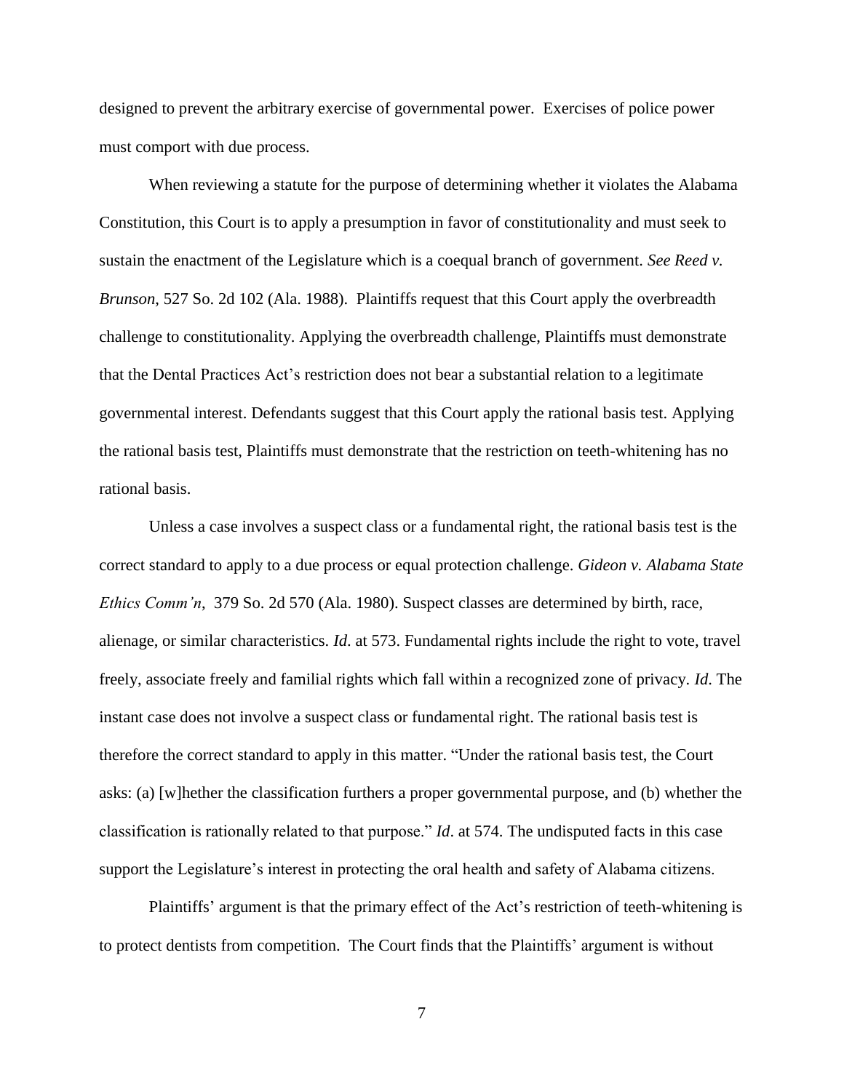designed to prevent the arbitrary exercise of governmental power. Exercises of police power must comport with due process.

When reviewing a statute for the purpose of determining whether it violates the Alabama Constitution, this Court is to apply a presumption in favor of constitutionality and must seek to sustain the enactment of the Legislature which is a coequal branch of government. *See Reed v. Brunson*, 527 So. 2d 102 (Ala. 1988). Plaintiffs request that this Court apply the overbreadth challenge to constitutionality. Applying the overbreadth challenge, Plaintiffs must demonstrate that the Dental Practices Act's restriction does not bear a substantial relation to a legitimate governmental interest. Defendants suggest that this Court apply the rational basis test. Applying the rational basis test, Plaintiffs must demonstrate that the restriction on teeth-whitening has no rational basis.

Unless a case involves a suspect class or a fundamental right, the rational basis test is the correct standard to apply to a due process or equal protection challenge. *Gideon v. Alabama State Ethics Comm'n*, 379 So. 2d 570 (Ala. 1980). Suspect classes are determined by birth, race, alienage, or similar characteristics. *Id*. at 573. Fundamental rights include the right to vote, travel freely, associate freely and familial rights which fall within a recognized zone of privacy. *Id*. The instant case does not involve a suspect class or fundamental right. The rational basis test is therefore the correct standard to apply in this matter. "Under the rational basis test, the Court asks: (a) [w]hether the classification furthers a proper governmental purpose, and (b) whether the classification is rationally related to that purpose." *Id*. at 574. The undisputed facts in this case support the Legislature's interest in protecting the oral health and safety of Alabama citizens.

Plaintiffs' argument is that the primary effect of the Act's restriction of teeth-whitening is to protect dentists from competition. The Court finds that the Plaintiffs' argument is without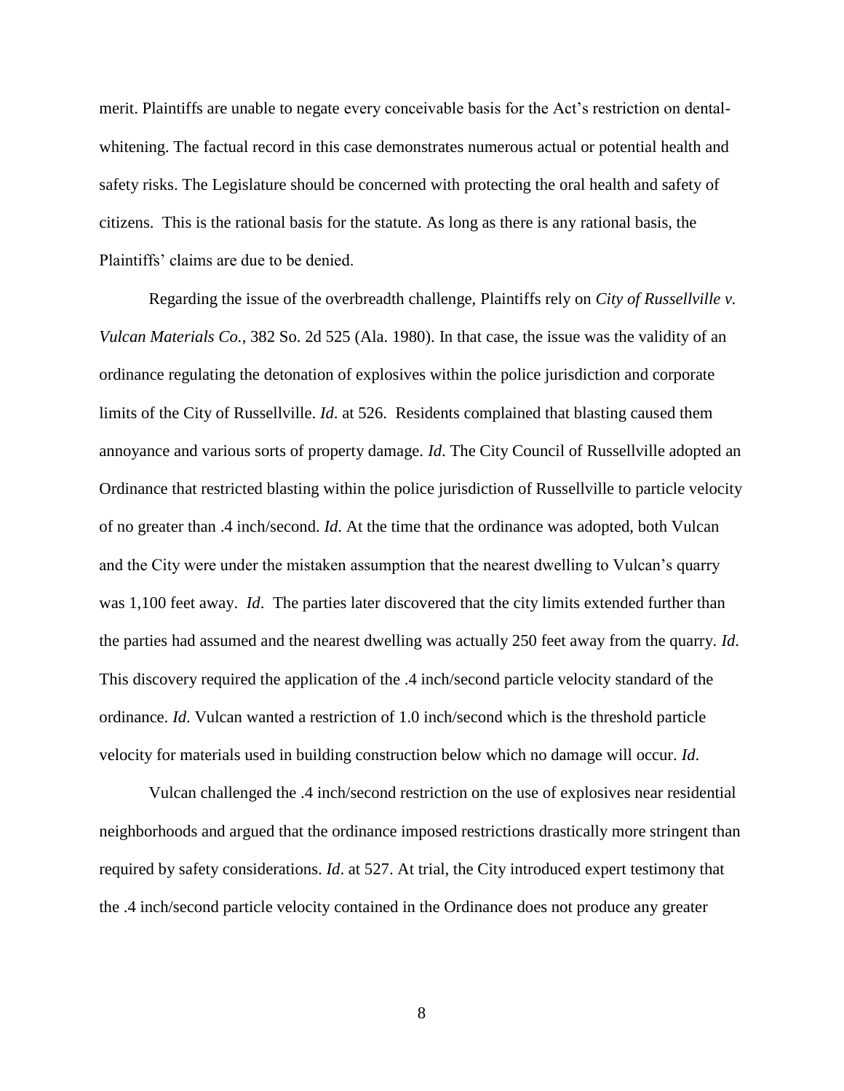merit. Plaintiffs are unable to negate every conceivable basis for the Act's restriction on dentalwhitening. The factual record in this case demonstrates numerous actual or potential health and safety risks. The Legislature should be concerned with protecting the oral health and safety of citizens. This is the rational basis for the statute. As long as there is any rational basis, the Plaintiffs' claims are due to be denied.

Regarding the issue of the overbreadth challenge, Plaintiffs rely on *City of Russellville v. Vulcan Materials Co.*, 382 So. 2d 525 (Ala. 1980). In that case, the issue was the validity of an ordinance regulating the detonation of explosives within the police jurisdiction and corporate limits of the City of Russellville. *Id*. at 526. Residents complained that blasting caused them annoyance and various sorts of property damage. *Id*. The City Council of Russellville adopted an Ordinance that restricted blasting within the police jurisdiction of Russellville to particle velocity of no greater than .4 inch/second. *Id*. At the time that the ordinance was adopted, both Vulcan and the City were under the mistaken assumption that the nearest dwelling to Vulcan's quarry was 1,100 feet away. *Id*. The parties later discovered that the city limits extended further than the parties had assumed and the nearest dwelling was actually 250 feet away from the quarry. *Id*. This discovery required the application of the .4 inch/second particle velocity standard of the ordinance. *Id*. Vulcan wanted a restriction of 1.0 inch/second which is the threshold particle velocity for materials used in building construction below which no damage will occur. *Id*.

Vulcan challenged the .4 inch/second restriction on the use of explosives near residential neighborhoods and argued that the ordinance imposed restrictions drastically more stringent than required by safety considerations. *Id*. at 527. At trial, the City introduced expert testimony that the .4 inch/second particle velocity contained in the Ordinance does not produce any greater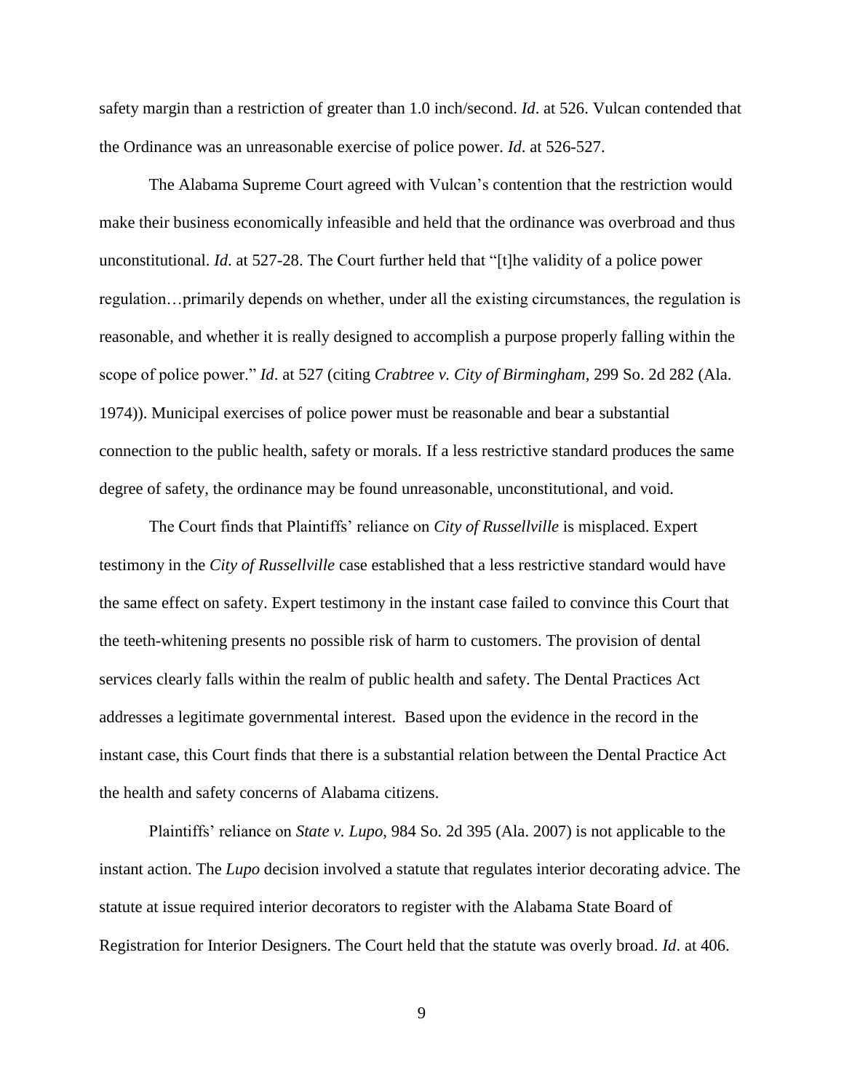safety margin than a restriction of greater than 1.0 inch/second. *Id*. at 526. Vulcan contended that the Ordinance was an unreasonable exercise of police power. *Id*. at 526-527.

The Alabama Supreme Court agreed with Vulcan's contention that the restriction would make their business economically infeasible and held that the ordinance was overbroad and thus unconstitutional. *Id*. at 527-28. The Court further held that "[t]he validity of a police power regulation…primarily depends on whether, under all the existing circumstances, the regulation is reasonable, and whether it is really designed to accomplish a purpose properly falling within the scope of police power." *Id*. at 527 (citing *Crabtree v. City of Birmingham*, 299 So. 2d 282 (Ala. 1974)). Municipal exercises of police power must be reasonable and bear a substantial connection to the public health, safety or morals. If a less restrictive standard produces the same degree of safety, the ordinance may be found unreasonable, unconstitutional, and void.

The Court finds that Plaintiffs' reliance on *City of Russellville* is misplaced. Expert testimony in the *City of Russellville* case established that a less restrictive standard would have the same effect on safety. Expert testimony in the instant case failed to convince this Court that the teeth-whitening presents no possible risk of harm to customers. The provision of dental services clearly falls within the realm of public health and safety. The Dental Practices Act addresses a legitimate governmental interest. Based upon the evidence in the record in the instant case, this Court finds that there is a substantial relation between the Dental Practice Act the health and safety concerns of Alabama citizens.

Plaintiffs' reliance on *State v. Lupo*, 984 So. 2d 395 (Ala. 2007) is not applicable to the instant action. The *Lupo* decision involved a statute that regulates interior decorating advice. The statute at issue required interior decorators to register with the Alabama State Board of Registration for Interior Designers. The Court held that the statute was overly broad. *Id*. at 406.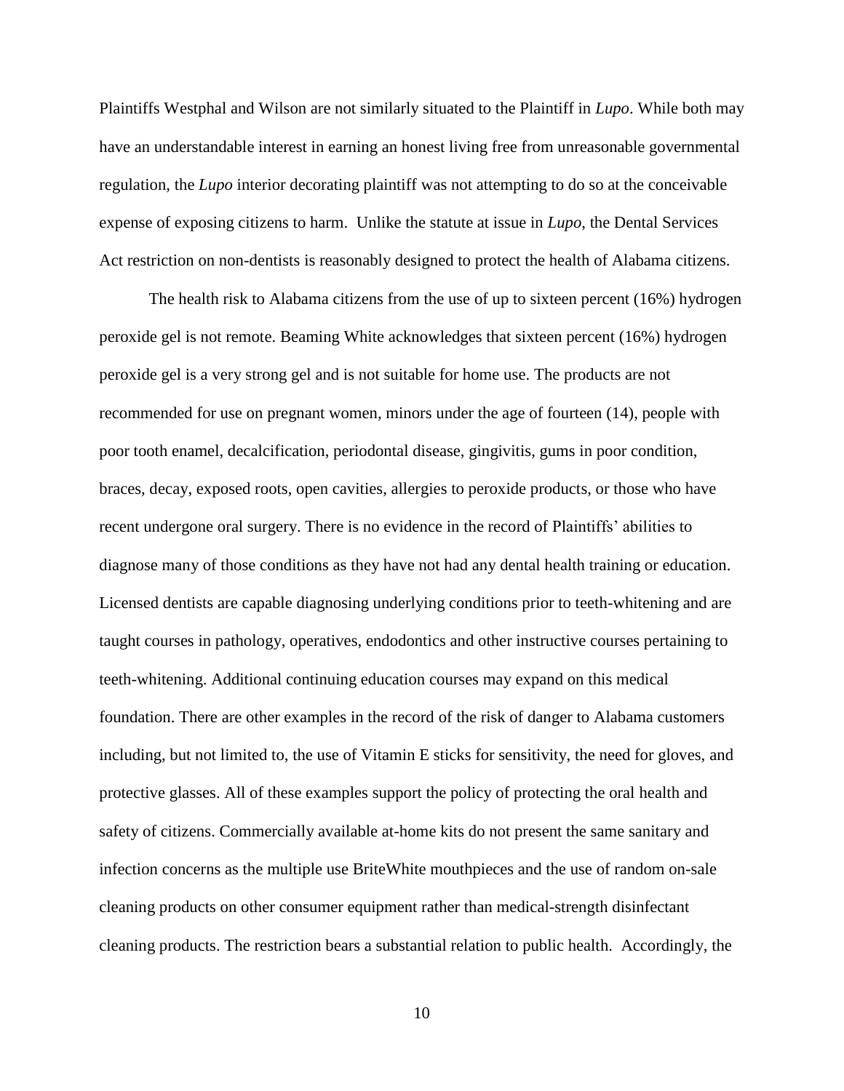Plaintiffs Westphal and Wilson are not similarly situated to the Plaintiff in *Lupo*. While both may have an understandable interest in earning an honest living free from unreasonable governmental regulation, the *Lupo* interior decorating plaintiff was not attempting to do so at the conceivable expense of exposing citizens to harm. Unlike the statute at issue in *Lupo*, the Dental Services Act restriction on non-dentists is reasonably designed to protect the health of Alabama citizens.

The health risk to Alabama citizens from the use of up to sixteen percent (16%) hydrogen peroxide gel is not remote. Beaming White acknowledges that sixteen percent (16%) hydrogen peroxide gel is a very strong gel and is not suitable for home use. The products are not recommended for use on pregnant women, minors under the age of fourteen (14), people with poor tooth enamel, decalcification, periodontal disease, gingivitis, gums in poor condition, braces, decay, exposed roots, open cavities, allergies to peroxide products, or those who have recent undergone oral surgery. There is no evidence in the record of Plaintiffs' abilities to diagnose many of those conditions as they have not had any dental health training or education. Licensed dentists are capable diagnosing underlying conditions prior to teeth-whitening and are taught courses in pathology, operatives, endodontics and other instructive courses pertaining to teeth-whitening. Additional continuing education courses may expand on this medical foundation. There are other examples in the record of the risk of danger to Alabama customers including, but not limited to, the use of Vitamin E sticks for sensitivity, the need for gloves, and protective glasses. All of these examples support the policy of protecting the oral health and safety of citizens. Commercially available at-home kits do not present the same sanitary and infection concerns as the multiple use BriteWhite mouthpieces and the use of random on-sale cleaning products on other consumer equipment rather than medical-strength disinfectant cleaning products. The restriction bears a substantial relation to public health. Accordingly, the